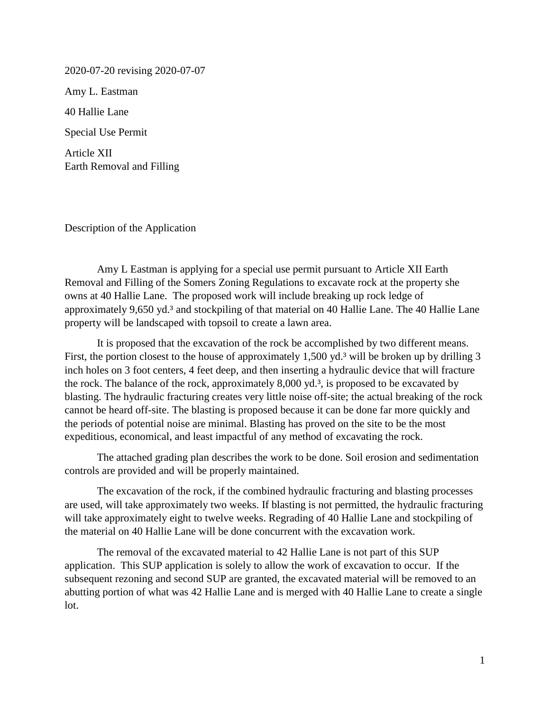2020-07-20 revising 2020-07-07

Amy L. Eastman

40 Hallie Lane

Special Use Permit

Article XII Earth Removal and Filling

Description of the Application

Amy L Eastman is applying for a special use permit pursuant to Article XII Earth Removal and Filling of the Somers Zoning Regulations to excavate rock at the property she owns at 40 Hallie Lane. The proposed work will include breaking up rock ledge of approximately 9,650 yd.<sup>3</sup> and stockpiling of that material on 40 Hallie Lane. The 40 Hallie Lane property will be landscaped with topsoil to create a lawn area.

It is proposed that the excavation of the rock be accomplished by two different means. First, the portion closest to the house of approximately 1,500 yd.<sup>3</sup> will be broken up by drilling 3 inch holes on 3 foot centers, 4 feet deep, and then inserting a hydraulic device that will fracture the rock. The balance of the rock, approximately 8,000 yd.<sup>3</sup>, is proposed to be excavated by blasting. The hydraulic fracturing creates very little noise off-site; the actual breaking of the rock cannot be heard off-site. The blasting is proposed because it can be done far more quickly and the periods of potential noise are minimal. Blasting has proved on the site to be the most expeditious, economical, and least impactful of any method of excavating the rock.

The attached grading plan describes the work to be done. Soil erosion and sedimentation controls are provided and will be properly maintained.

The excavation of the rock, if the combined hydraulic fracturing and blasting processes are used, will take approximately two weeks. If blasting is not permitted, the hydraulic fracturing will take approximately eight to twelve weeks. Regrading of 40 Hallie Lane and stockpiling of the material on 40 Hallie Lane will be done concurrent with the excavation work.

The removal of the excavated material to 42 Hallie Lane is not part of this SUP application. This SUP application is solely to allow the work of excavation to occur. If the subsequent rezoning and second SUP are granted, the excavated material will be removed to an abutting portion of what was 42 Hallie Lane and is merged with 40 Hallie Lane to create a single lot.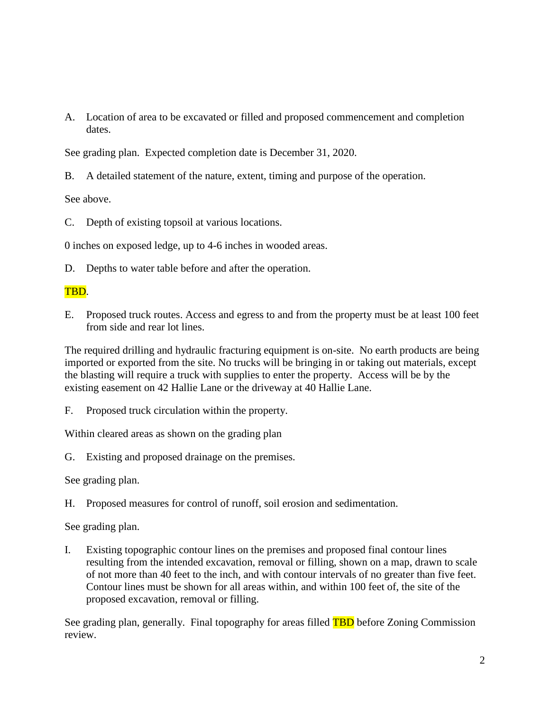A. Location of area to be excavated or filled and proposed commencement and completion dates.

See grading plan. Expected completion date is December 31, 2020.

B. A detailed statement of the nature, extent, timing and purpose of the operation.

See above.

C. Depth of existing topsoil at various locations.

0 inches on exposed ledge, up to 4-6 inches in wooded areas.

D. Depths to water table before and after the operation.

## TBD.

E. Proposed truck routes. Access and egress to and from the property must be at least 100 feet from side and rear lot lines.

The required drilling and hydraulic fracturing equipment is on-site. No earth products are being imported or exported from the site. No trucks will be bringing in or taking out materials, except the blasting will require a truck with supplies to enter the property. Access will be by the existing easement on 42 Hallie Lane or the driveway at 40 Hallie Lane.

F. Proposed truck circulation within the property.

Within cleared areas as shown on the grading plan

G. Existing and proposed drainage on the premises.

See grading plan.

H. Proposed measures for control of runoff, soil erosion and sedimentation.

See grading plan.

I. Existing topographic contour lines on the premises and proposed final contour lines resulting from the intended excavation, removal or filling, shown on a map, drawn to scale of not more than 40 feet to the inch, and with contour intervals of no greater than five feet. Contour lines must be shown for all areas within, and within 100 feet of, the site of the proposed excavation, removal or filling.

See grading plan, generally. Final topography for areas filled **TBD** before Zoning Commission review.